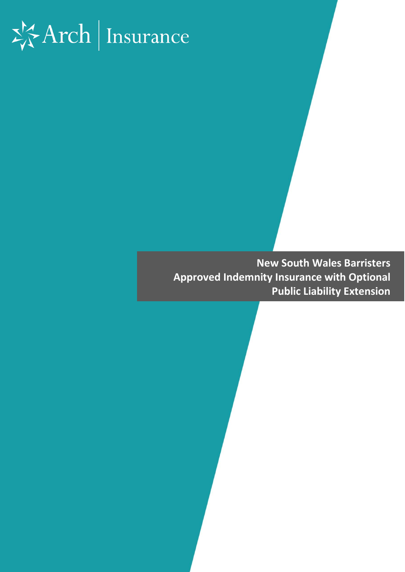# $\frac{1}{2} \frac{1}{2}$ Arch | Insurance

**New South Wales Barristers Approved Indemnity Insurance with Optional Public Liability Extension**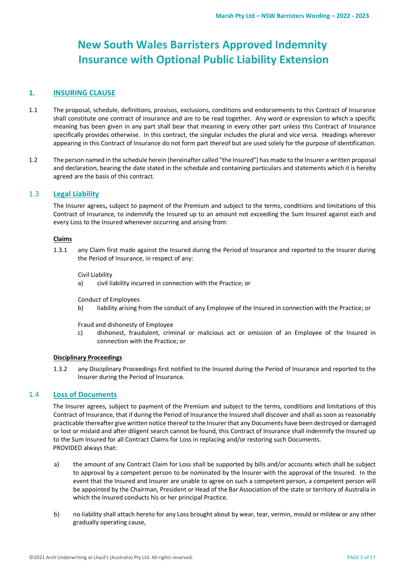# **New South Wales Barristers Approved Indemnity Insurance with Optional Public Liability Extension**

# **1. INSURING CLAUSE**

- 1.1 The proposal, schedule, definitions, provisos, exclusions, conditions and endorsements to this Contract of Insurance shall constitute one contract of insurance and are to be read together. Any word or expression to which a specific meaning has been given in any part shall bear that meaning in every other part unless this Contract of Insurance specifically provides otherwise. In this contract, the singular includes the plural and vice versa. Headings wherever appearing in this Contract of Insurance do not form part thereof but are used solely for the purpose of identification.
- 1.2 The person named in the schedule herein (hereinafter called "the Insured") has made to the Insurer a written proposal and declaration, bearing the date stated in the schedule and containing particulars and statements which it is hereby agreed are the basis of this contract.

# 1.3 **Legal Liability**

The Insurer agrees**,** subject to payment of the Premium and subject to the terms, conditions and limitations of this Contract of Insurance, to indemnify the Insured up to an amount not exceeding the Sum Insured against each and every Loss to the Insured whenever occurring and arising from:

# **Claims**

1.3.1 any Claim first made against the Insured during the Period of Insurance and reported to the Insurer during the Period of Insurance, in respect of any:

Civil Liability

a) civil liability incurred in connection with the Practice; or

Conduct of Employees

b) liability arising from the conduct of any Employee of the Insured in connection with the Practice; or

Fraud and dishonesty of Employee

c) dishonest, fraudulent, criminal or malicious act or omission of an Employee of the Insured in connection with the Practice; or

# **Disciplinary Proceedings**

1.3.2 any Disciplinary Proceedings first notified to the Insured during the Period of Insurance and reported to the Insurer during the Period of Insurance.

# 1.4 **Loss of Documents**

The Insurer agrees, subject to payment of the Premium and subject to the terms, conditions and limitations of this Contract of Insurance, that if during the Period of Insurance the Insured shall discover and shall as soon as reasonably practicable thereafter give written notice thereof to the Insurer that any Documents have been destroyed or damaged or lost or mislaid and after diligent search cannot be found, this Contract of Insurance shall indemnify the Insured up to the Sum Insured for all Contract Claims for Loss in replacing and/or restoring such Documents. PROVIDED always that:

- a) the amount of any Contract Claim for Loss shall be supported by bills and/or accounts which shall be subject to approval by a competent person to be nominated by the Insurer with the approval of the Insured. In the event that the Insured and Insurer are unable to agree on such a competent person, a competent person will be appointed by the Chairman, President or Head of the Bar Association of the state or territory of Australia in which the Insured conducts his or her principal Practice.
- b) no liability shall attach hereto for any Loss brought about by wear, tear, vermin, mould or mildew or any other gradually operating cause,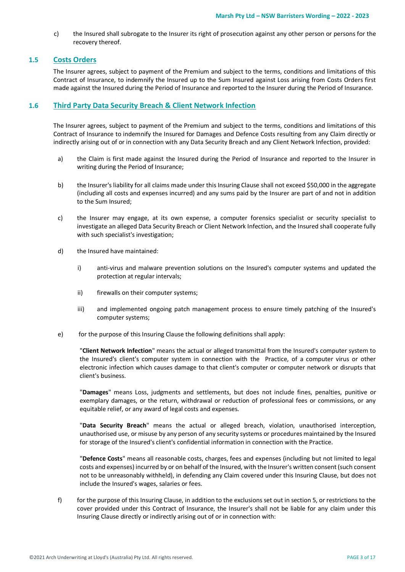c) the Insured shall subrogate to the Insurer its right of prosecution against any other person or persons for the recovery thereof.

# **1.5 Costs Orders**

The Insurer agrees, subject to payment of the Premium and subject to the terms, conditions and limitations of this Contract of Insurance, to indemnify the Insured up to the Sum Insured against Loss arising from Costs Orders first made against the Insured during the Period of Insurance and reported to the Insurer during the Period of Insurance.

# **1.6 Third Party Data Security Breach & Client Network Infection**

The Insurer agrees, subject to payment of the Premium and subject to the terms, conditions and limitations of this Contract of Insurance to indemnify the Insured for Damages and Defence Costs resulting from any Claim directly or indirectly arising out of or in connection with any Data Security Breach and any Client Network Infection, provided:

- a) the Claim is first made against the Insured during the Period of Insurance and reported to the Insurer in writing during the Period of Insurance;
- b) the Insurer's liability for all claims made under this Insuring Clause shall not exceed \$50,000 in the aggregate (including all costs and expenses incurred) and any sums paid by the Insurer are part of and not in addition to the Sum Insured;
- c) the Insurer may engage, at its own expense, a computer forensics specialist or security specialist to investigate an alleged Data Security Breach or Client Network Infection, and the Insured shall cooperate fully with such specialist's investigation;
- d) the Insured have maintained:
	- i) anti-virus and malware prevention solutions on the Insured's computer systems and updated the protection at regular intervals;
	- ii) firewalls on their computer systems;
	- iii) and implemented ongoing patch management process to ensure timely patching of the Insured's computer systems;
- e) for the purpose of this Insuring Clause the following definitions shall apply:

▪ "**Client Network Infection**" means the actual or alleged transmittal from the Insured's computer system to the Insured's client's computer system in connection with the Practice, of a computer virus or other electronic infection which causes damage to that client's computer or computer network or disrupts that client's business.

▪ "**Damages**" means Loss, judgments and settlements, but does not include fines, penalties, punitive or exemplary damages, or the return, withdrawal or reduction of professional fees or commissions, or any equitable relief, or any award of legal costs and expenses.

"Data Security Breach" means the actual or alleged breach, violation, unauthorised interception, unauthorised use, or misuse by any person of any security systems or procedures maintained by the Insured for storage of the Insured's client's confidential information in connection with the Practice.

▪ "**Defence Costs**" means all reasonable costs, charges, fees and expenses (including but not limited to legal costs and expenses) incurred by or on behalf of the Insured, with the Insurer's written consent (such consent not to be unreasonably withheld), in defending any Claim covered under this Insuring Clause, but does not include the Insured's wages, salaries or fees.

f) for the purpose of this Insuring Clause, in addition to the exclusions set out in section 5, or restrictions to the cover provided under this Contract of Insurance, the Insurer's shall not be liable for any claim under this Insuring Clause directly or indirectly arising out of or in connection with: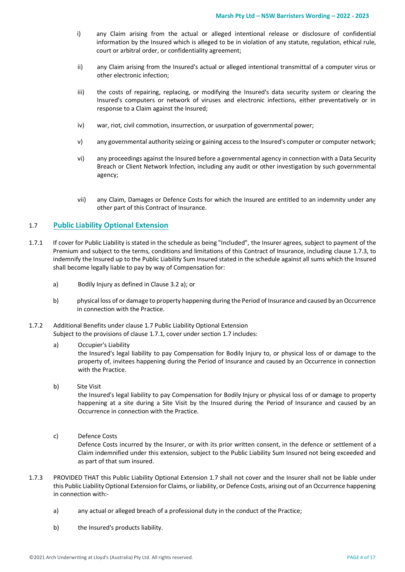- i) any Claim arising from the actual or alleged intentional release or disclosure of confidential information by the Insured which is alleged to be in violation of any statute, regulation, ethical rule, court or arbitral order, or confidentiality agreement;
- ii) any Claim arising from the Insured's actual or alleged intentional transmittal of a computer virus or other electronic infection;
- iii) the costs of repairing, replacing, or modifying the Insured's data security system or clearing the Insured's computers or network of viruses and electronic infections, either preventatively or in response to a Claim against the Insured;
- iv) war, riot, civil commotion, insurrection, or usurpation of governmental power;
- v) any governmental authority seizing or gaining access to the Insured's computer or computer network;
- vi) any proceedings against the Insured before a governmental agency in connection with a Data Security Breach or Client Network Infection, including any audit or other investigation by such governmental agency;
- vii) any Claim, Damages or Defence Costs for which the Insured are entitled to an indemnity under any other part of this Contract of Insurance.

# 1.7 **Public Liability Optional Extension**

- 1.7.1 If cover for Public Liability is stated in the schedule as being "Included", the Insurer agrees, subject to payment of the Premium and subject to the terms, conditions and limitations of this Contract of Insurance, including clause 1.7.3, to indemnify the Insured up to the Public Liability Sum Insured stated in the schedule against all sums which the Insured shall become legally liable to pay by way of Compensation for:
	- a) Bodily Injury as defined in Clause 3.2 a); or
	- b) physical loss of or damage to property happening during the Period of Insurance and caused by an Occurrence in connection with the Practice.
- 1.7.2 Additional Benefits under clause 1.7 Public Liability Optional Extension Subject to the provisions of clause 1.7.1, cover under section 1.7 includes:
	- a) Occupier's Liability the Insured's legal liability to pay Compensation for Bodily Injury to, or physical loss of or damage to the property of, invitees happening during the Period of Insurance and caused by an Occurrence in connection with the Practice.
	- b) Site Visit

the Insured's legal liability to pay Compensation for Bodily Injury or physical loss of or damage to property happening at a site during a Site Visit by the Insured during the Period of Insurance and caused by an Occurrence in connection with the Practice.

c) Defence Costs

Defence Costs incurred by the Insurer, or with its prior written consent, in the defence or settlement of a Claim indemnified under this extension, subject to the Public Liability Sum Insured not being exceeded and as part of that sum insured.

- 1.7.3 PROVIDED THAT this Public Liability Optional Extension 1.7 shall not cover and the Insurer shall not be liable under this Public Liability Optional Extension for Claims, or liability, or Defence Costs, arising out of an Occurrence happening in connection with:
	- a) any actual or alleged breach of a professional duty in the conduct of the Practice;
	- b) the Insured's products liability.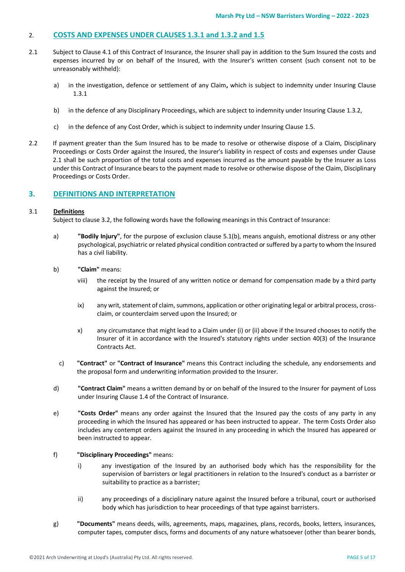# 2. **COSTS AND EXPENSES UNDER CLAUSES 1.3.1 and 1.3.2 and 1.5**

- 2.1 Subject to Clause 4.1 of this Contract of Insurance, the Insurer shall pay in addition to the Sum Insured the costs and expenses incurred by or on behalf of the Insured, with the Insurer's written consent (such consent not to be unreasonably withheld):
	- a) in the investigation, defence or settlement of any Claim**,** which is subject to indemnity under Insuring Clause 1.3.1
	- b) in the defence of any Disciplinary Proceedings, which are subject to indemnity under Insuring Clause 1.3.2,
	- c) in the defence of any Cost Order, which is subject to indemnity under Insuring Clause 1.5.
- 2.2 If payment greater than the Sum Insured has to be made to resolve or otherwise dispose of a Claim, Disciplinary Proceedings or Costs Order against the Insured, the Insurer's liability in respect of costs and expenses under Clause 2.1 shall be such proportion of the total costs and expenses incurred as the amount payable by the Insurer as Loss under this Contract of Insurance bears to the payment made to resolve or otherwise dispose of the Claim, Disciplinary Proceedings or Costs Order.

# **3. DEFINITIONS AND INTERPRETATION**

#### 3.1 **Definitions**

Subject to clause 3.2, the following words have the following meanings in this Contract of Insurance:

- a) **"Bodily Injury"**, for the purpose of exclusion clause 5.1(b), means anguish, emotional distress or any other psychological, psychiatric or related physical condition contracted or suffered by a party to whom the Insured has a civil liability.
- b) **"Claim"** means:
	- viii) the receipt by the Insured of any written notice or demand for compensation made by a third party against the Insured; or
	- ix) any writ, statement of claim, summons, application or other originating legal or arbitral process, crossclaim, or counterclaim served upon the Insured; or
	- x) any circumstance that might lead to a Claim under (i) or (ii) above if the Insured chooses to notify the Insurer of it in accordance with the Insured's statutory rights under section 40(3) of the Insurance Contracts Act.
	- c) **"Contract"** or **"Contract of Insurance"** means this Contract including the schedule, any endorsements and the proposal form and underwriting information provided to the Insurer.
- d) **"Contract Claim"** means a written demand by or on behalf of the Insured to the Insurer for payment of Loss under Insuring Clause 1.4 of the Contract of Insurance.
- e) **"Costs Order"** means any order against the Insured that the Insured pay the costs of any party in any proceeding in which the Insured has appeared or has been instructed to appear. The term Costs Order also includes any contempt orders against the Insured in any proceeding in which the Insured has appeared or been instructed to appear.
- f) **"Disciplinary Proceedings"** means:
	- i) any investigation of the Insured by an authorised body which has the responsibility for the supervision of barristers or legal practitioners in relation to the Insured's conduct as a barrister or suitability to practice as a barrister;
	- ii) any proceedings of a disciplinary nature against the Insured before a tribunal, court or authorised body which has jurisdiction to hear proceedings of that type against barristers.
- g) **"Documents"** means deeds, wills, agreements, maps, magazines, plans, records, books, letters, insurances, computer tapes, computer discs, forms and documents of any nature whatsoever (other than bearer bonds,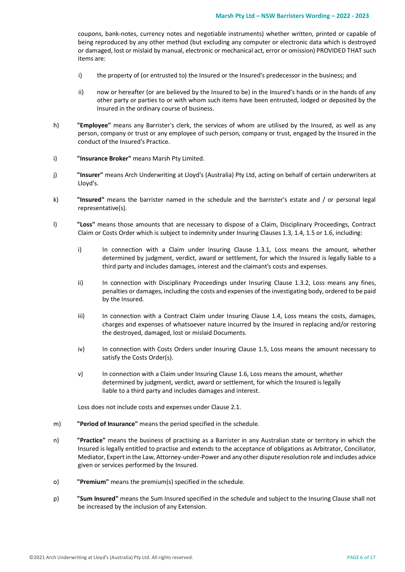coupons, bank-notes, currency notes and negotiable instruments) whether written, printed or capable of being reproduced by any other method (but excluding any computer or electronic data which is destroyed or damaged, lost or mislaid by manual, electronic or mechanical act, error or omission) PROVIDED THAT such items are:

- i) the property of (or entrusted to) the Insured or the Insured's predecessor in the business; and
- ii) now or hereafter (or are believed by the Insured to be) in the Insured's hands or in the hands of any other party or parties to or with whom such items have been entrusted, lodged or deposited by the Insured in the ordinary course of business.
- h) **"Employee"** means any Barrister's clerk, the services of whom are utilised by the Insured, as well as any person, company or trust or any employee of such person, company or trust, engaged by the Insured in the conduct of the Insured's Practice.
- i) **"Insurance Broker"** means Marsh Pty Limited.
- j) **"Insurer"** means Arch Underwriting at Lloyd's (Australia) Pty Ltd, acting on behalf of certain underwriters at Lloyd's.
- k) **"Insured"** means the barrister named in the schedule and the barrister's estate and / or personal legal representative(s).
- l) **"Loss"** means those amounts that are necessary to dispose of a Claim, Disciplinary Proceedings, Contract Claim or Costs Order which is subject to indemnity under Insuring Clauses 1.3, 1.4, 1.5 or 1.6, including:
	- i) In connection with a Claim under Insuring Clause 1.3.1, Loss means the amount, whether determined by judgment, verdict, award or settlement, for which the Insured is legally liable to a third party and includes damages, interest and the claimant's costs and expenses.
	- ii) In connection with Disciplinary Proceedings under Insuring Clause 1.3.2, Loss means any fines, penalties or damages, including the costs and expenses of the investigating body, ordered to be paid by the Insured.
	- iii) In connection with a Contract Claim under Insuring Clause 1.4, Loss means the costs, damages, charges and expenses of whatsoever nature incurred by the Insured in replacing and/or restoring the destroyed, damaged, lost or mislaid Documents.
	- iv) In connection with Costs Orders under Insuring Clause 1.5, Loss means the amount necessary to satisfy the Costs Order(s).
	- v) In connection with a Claim under Insuring Clause 1.6, Loss means the amount, whether determined by judgment, verdict, award or settlement, for which the Insured is legally liable to a third party and includes damages and interest.

Loss does not include costs and expenses under Clause 2.1.

- m) **"Period of Insurance"** means the period specified in the schedule.
- n) **"Practice"** means the business of practising as a Barrister in any Australian state or territory in which the Insured is legally entitled to practise and extends to the acceptance of obligations as Arbitrator, Conciliator, Mediator, Expert in the Law, Attorney-under-Power and any other dispute resolution role and includes advice given or services performed by the Insured.
- o) **"Premium"** means the premium(s) specified in the schedule.
- p) **"Sum Insured"** means the Sum Insured specified in the schedule and subject to the Insuring Clause shall not be increased by the inclusion of any Extension.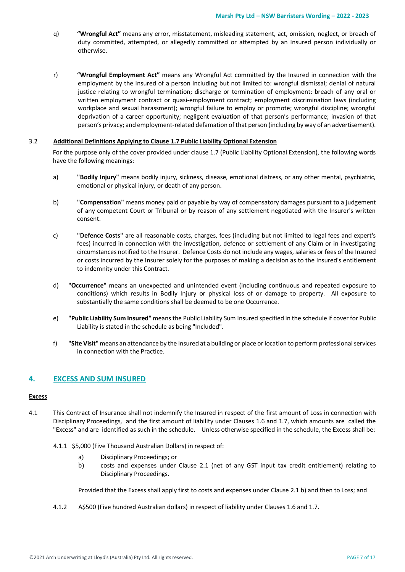- q) **"Wrongful Act"** means any error, misstatement, misleading statement, act, omission, neglect, or breach of duty committed, attempted, or allegedly committed or attempted by an Insured person individually or otherwise.
- r) **"Wrongful Employment Act"** means any Wrongful Act committed by the Insured in connection with the employment by the Insured of a person including but not limited to: wrongful dismissal; denial of natural justice relating to wrongful termination; discharge or termination of employment: breach of any oral or written employment contract or quasi-employment contract; employment discrimination laws (including workplace and sexual harassment); wrongful failure to employ or promote; wrongful discipline; wrongful deprivation of a career opportunity; negligent evaluation of that person's performance; invasion of that person's privacy; and employment-related defamation of that person (including by way of an advertisement).

#### 3.2 **Additional Definitions Applying to Clause 1.7 Public Liability Optional Extension**

For the purpose only of the cover provided under clause 1.7 (Public Liability Optional Extension), the following words have the following meanings:

- a) **"Bodily Injury"** means bodily injury, sickness, disease, emotional distress, or any other mental, psychiatric, emotional or physical injury, or death of any person.
- b) **"Compensation"** means money paid or payable by way of compensatory damages pursuant to a judgement of any competent Court or Tribunal or by reason of any settlement negotiated with the Insurer's written consent.
- c) **"Defence Costs"** are all reasonable costs, charges, fees (including but not limited to legal fees and expert's fees) incurred in connection with the investigation, defence or settlement of any Claim or in investigating circumstances notified to the Insurer. Defence Costs do not include any wages, salaries or fees of the Insured or costs incurred by the Insurer solely for the purposes of making a decision as to the Insured's entitlement to indemnity under this Contract.
- d) **"Occurrence"** means an unexpected and unintended event (including continuous and repeated exposure to conditions) which results in Bodily Injury or physical loss of or damage to property. All exposure to substantially the same conditions shall be deemed to be one Occurrence.
- e) **"Public Liability Sum Insured"** means the Public Liability Sum Insured specified in the schedule if cover for Public Liability is stated in the schedule as being "Included".
- f) **"Site Visit"**means an attendance by the Insured at a building or place or location to perform professional services in connection with the Practice.

# **4. EXCESS AND SUM INSURED**

# **Excess**

- 4.1 This Contract of Insurance shall not indemnify the Insured in respect of the first amount of Loss in connection with Disciplinary Proceedings, and the first amount of liability under Clauses 1.6 and 1.7, which amounts are called the "Excess" and are identified as such in the schedule. Unless otherwise specified in the schedule, the Excess shall be:
	- 4.1.1 \$5,000 (Five Thousand Australian Dollars) in respect of:
		- a) Disciplinary Proceedings; or
		- b) costs and expenses under Clause 2.1 (net of any GST input tax credit entitlement) relating to Disciplinary Proceedings.

Provided that the Excess shall apply first to costs and expenses under Clause 2.1 b) and then to Loss; and

4.1.2 A\$500 (Five hundred Australian dollars) in respect of liability under Clauses 1.6 and 1.7.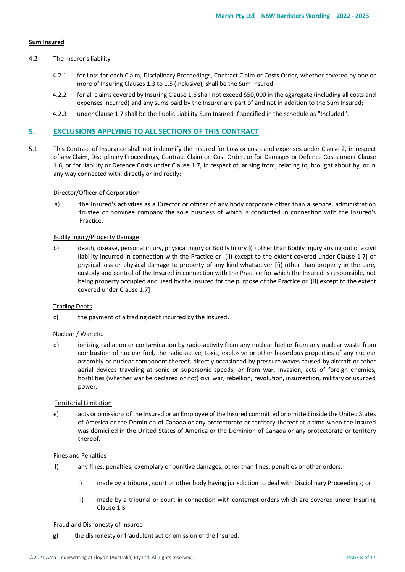# **Sum Insured**

#### 4.2 The Insurer's liability

- 4.2.1 for Loss for each Claim, Disciplinary Proceedings, Contract Claim or Costs Order, whether covered by one or more of Insuring Clauses 1.3 to 1.5 (inclusive), shall be the Sum Insured.
- 4.2.2 for all claims covered by Insuring Clause 1.6 shall not exceed \$50,000 in the aggregate (including all costs and expenses incurred) and any sums paid by the Insurer are part of and not in addition to the Sum Insured;
- 4.2.3 under Clause 1.7 shall be the Public Liability Sum Insured if specified in the schedule as "Included".

# **5. EXCLUSIONS APPLYING TO ALL SECTIONS OF THIS CONTRACT**

5.1 This Contract of Insurance shall not indemnify the Insured for Loss or costs and expenses under Clause 2, in respect of any Claim, Disciplinary Proceedings, Contract Claim or Cost Order, or for Damages or Defence Costs under Clause 1.6, or for liability or Defence Costs under Clause 1.7, in respect of, arising from, relating to, brought about by, or in any way connected with, directly or indirectly:

#### Director/Officer of Corporation

a) the Insured's activities as a Director or officer of any body corporate other than a service, administration trustee or nominee company the sole business of which is conducted in connection with the Insured's Practice.

# Bodily Injury/Property Damage

b) death, disease, personal injury, physical injury or Bodily Injury [(i) other than Bodily Injury arising out of a civil liability incurred in connection with the Practice or (ii) except to the extent covered under Clause 1.7] or physical loss or physical damage to property of any kind whatsoever [(i) other than property in the care, custody and control of the Insured in connection with the Practice for which the Insured is responsible, not being property occupied and used by the Insured for the purpose of the Practice or (ii) except to the extent covered under Clause 1.7]

#### Trading Debts

c) the payment of a trading debt incurred by the Insured**.**

#### Nuclear / War etc.

d) ionizing radiation or contamination by radio-activity from any nuclear fuel or from any nuclear waste from combustion of nuclear fuel, the radio-active, toxic, explosive or other hazardous properties of any nuclear assembly or nuclear component thereof, directly occasioned by pressure waves caused by aircraft or other aerial devices traveling at sonic or supersonic speeds, or from war, invasion, acts of foreign enemies, hostilities (whether war be declared or not) civil war, rebellion, revolution, insurrection, military or usurped power.

#### Territorial Limitation

e) acts or omissions of the Insured or an Employee of the Insured committed or omitted inside the United States of America or the Dominion of Canada or any protectorate or territory thereof at a time when the Insured was domiciled in the United States of America or the Dominion of Canada or any protectorate or territory thereof.

#### Fines and Penalties

- f) any fines, penalties, exemplary or punitive damages, other than fines, penalties or other orders:
	- i) made by a tribunal, court or other body having jurisdiction to deal with Disciplinary Proceedings; or
	- ii) made by a tribunal or court in connection with contempt orders which are covered under Insuring Clause 1.5.

#### Fraud and Dishonesty of Insured

g) the dishonesty or fraudulent act or omission of the Insured.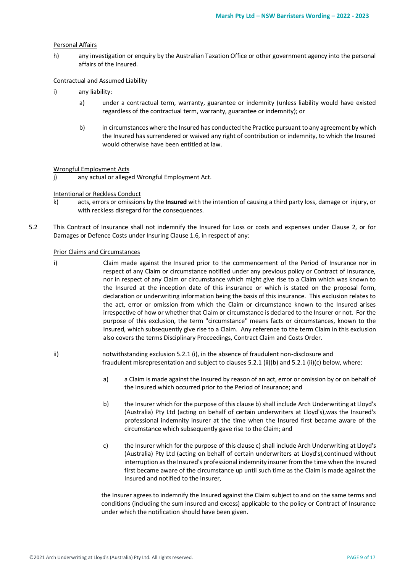#### Personal Affairs

h) any investigation or enquiry by the Australian Taxation Office or other government agency into the personal affairs of the Insured.

# Contractual and Assumed Liability

- i) any liability:
	- a) under a contractual term, warranty, guarantee or indemnity (unless liability would have existed regardless of the contractual term, warranty, guarantee or indemnity); or
	- b) in circumstances where the Insured has conducted the Practice pursuant to any agreement by which the Insured has surrendered or waived any right of contribution or indemnity, to which the Insured would otherwise have been entitled at law.

#### Wrongful Employment Acts

j) any actual or alleged Wrongful Employment Act.

#### Intentional or Reckless Conduct

- k) acts, errors or omissions by the **Insured** with the intention of causing a third party loss, damage or injury, or with reckless disregard for the consequences.
- 5.2 This Contract of Insurance shall not indemnify the Insured for Loss or costs and expenses under Clause 2, or for Damages or Defence Costs under Insuring Clause 1.6, in respect of any:

# Prior Claims and Circumstances

- i) Claim made against the Insured prior to the commencement of the Period of Insurance nor in respect of any Claim or circumstance notified under any previous policy or Contract of Insurance, nor in respect of any Claim or circumstance which might give rise to a Claim which was known to the Insured at the inception date of this insurance or which is stated on the proposal form, declaration or underwriting information being the basis of this insurance. This exclusion relates to the act, error or omission from which the Claim or circumstance known to the Insured arises irrespective of how or whether that Claim or circumstance is declared to the Insurer or not. For the purpose of this exclusion, the term "circumstance" means facts or circumstances, known to the Insured, which subsequently give rise to a Claim. Any reference to the term Claim in this exclusion also covers the terms Disciplinary Proceedings, Contract Claim and Costs Order.
- ii) notwithstanding exclusion 5.2.1 (i), in the absence of fraudulent non-disclosure and fraudulent misrepresentation and subject to clauses 5.2.1 (ii)(b) and 5.2.1 (ii)(c) below, where:
	- a) a Claim is made against the Insured by reason of an act, error or omission by or on behalf of the Insured which occurred prior to the Period of Insurance; and
	- b) the Insurer which for the purpose of this clause b) shall include Arch Underwriting at Lloyd's (Australia) Pty Ltd (acting on behalf of certain underwriters at Lloyd's),was the Insured's professional indemnity insurer at the time when the Insured first became aware of the circumstance which subsequently gave rise to the Claim; and
	- c) the Insurer which for the purpose of this clause c) shall include Arch Underwriting at Lloyd's (Australia) Pty Ltd (acting on behalf of certain underwriters at Lloyd's),continued without interruption as the Insured's professional indemnity insurer from the time when the Insured first became aware of the circumstance up until such time as the Claim is made against the Insured and notified to the Insurer,

the Insurer agrees to indemnify the Insured against the Claim subject to and on the same terms and conditions (including the sum insured and excess) applicable to the policy or Contract of Insurance under which the notification should have been given.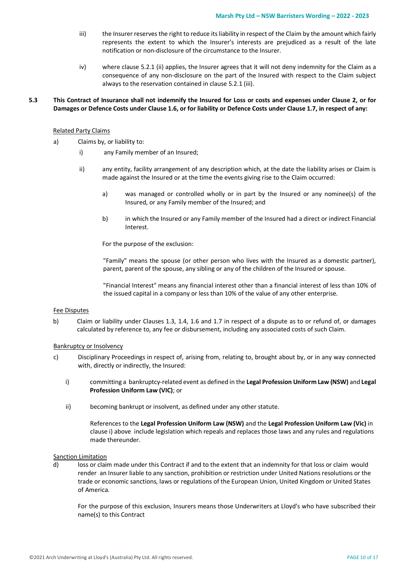- iii) the Insurer reserves the right to reduce its liability in respect of the Claim by the amount which fairly represents the extent to which the Insurer's interests are prejudiced as a result of the late notification or non-disclosure of the circumstance to the Insurer.
- iv) where clause 5.2.1 (ii) applies, the Insurer agrees that it will not deny indemnity for the Claim as a consequence of any non-disclosure on the part of the Insured with respect to the Claim subject always to the reservation contained in clause 5.2.1 (iii).

# **5.3 This Contract of Insurance shall not indemnify the Insured for Loss or costs and expenses under Clause 2, or for Damages or Defence Costs under Clause 1.6, or for liability or Defence Costs under Clause 1.7, in respect of any:**

#### Related Party Claims

- a) Claims by, or liability to:
	- i) any Family member of an Insured;
	- ii) any entity, facility arrangement of any description which, at the date the liability arises or Claim is made against the Insured or at the time the events giving rise to the Claim occurred:
		- a) was managed or controlled wholly or in part by the Insured or any nominee(s) of the Insured, or any Family member of the Insured; and
		- b) in which the Insured or any Family member of the Insured had a direct or indirect Financial Interest.

For the purpose of the exclusion:

"Family" means the spouse (or other person who lives with the Insured as a domestic partner), parent, parent of the spouse, any sibling or any of the children of the Insured or spouse.

"Financial Interest" means any financial interest other than a financial interest of less than 10% of the issued capital in a company or less than 10% of the value of any other enterprise.

#### Fee Disputes

b) Claim or liability under Clauses 1.3, 1.4, 1.6 and 1.7 in respect of a dispute as to or refund of, or damages calculated by reference to, any fee or disbursement, including any associated costs of such Claim.

#### Bankruptcy or Insolvency

- c) Disciplinary Proceedings in respect of, arising from, relating to, brought about by, or in any way connected with, directly or indirectly, the Insured:
	- i) committing a bankruptcy-related event as defined in the **Legal Profession Uniform Law (NSW)** and **Legal Profession Uniform Law (VIC)**; or
	- ii) becoming bankrupt or insolvent, as defined under any other statute.

References to the **Legal Profession Uniform Law (NSW)** and the **Legal Profession Uniform Law (Vic)** in clause i) above include legislation which repeals and replaces those laws and any rules and regulations made thereunder.

#### Sanction Limitation

d) loss or claim made under this Contract if and to the extent that an indemnity for that loss or claim would render an Insurer liable to any sanction, prohibition or restriction under United Nations resolutions or the trade or economic sanctions, laws or regulations of the European Union, United Kingdom or United States of America.

For the purpose of this exclusion, Insurers means those Underwriters at Lloyd's who have subscribed their name(s) to this Contract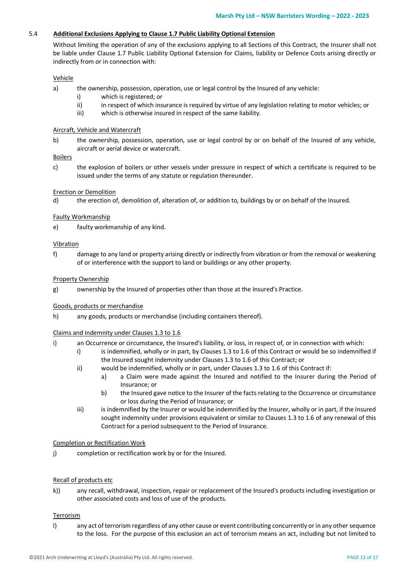# 5.4 **Additional Exclusions Applying to Clause 1.7 Public Liability Optional Extension**

Without limiting the operation of any of the exclusions applying to all Sections of this Contract, the Insurer shall not be liable under Clause 1.7 Public Liability Optional Extension for Claims, liability or Defence Costs arising directly or indirectly from or in connection with:

# Vehicle

- a) the ownership, possession, operation, use or legal control by the Insured of any vehicle:
	- i) which is registered; or
	- ii) in respect of which insurance is required by virtue of any legislation relating to motor vehicles; or
	- iii) which is otherwise insured in respect of the same liability.

# Aircraft, Vehicle and Watercraft

b) the ownership, possession, operation, use or legal control by or on behalf of the Insured of any vehicle, aircraft or aerial device or watercraft.

# Boilers

c) the explosion of boilers or other vessels under pressure in respect of which a certificate is required to be issued under the terms of any statute or regulation thereunder.

# Erection or Demolition

d) the erection of, demolition of, alteration of, or addition to, buildings by or on behalf of the Insured.

# Faulty Workmanship

e) faulty workmanship of any kind.

# Vibration

f) damage to any land or property arising directly or indirectly from vibration or from the removal or weakening of or interference with the support to land or buildings or any other property.

# Property Ownership

g) ownership by the Insured of properties other than those at the Insured's Practice.

# Goods, products or merchandise

h) any goods, products or merchandise (including containers thereof).

# Claims and indemnity under Clauses 1.3 to 1.6

- i) an Occurrence or circumstance, the Insured's liability, or loss, in respect of, or in connection with which:
	- i) is indemnified, wholly or in part, by Clauses 1.3 to 1.6 of this Contract or would be so indemnified if the Insured sought indemnity under Clauses 1.3 to 1.6 of this Contract; or
	- ii) would be indemnified, wholly or in part, under Clauses 1.3 to 1.6 of this Contract if:
		- a) a Claim were made against the Insured and notified to the Insurer during the Period of Insurance; or
		- b) the Insured gave notice to the Insurer of the facts relating to the Occurrence or circumstance or loss during the Period of Insurance; or
	- iii) is indemnified by the Insurer or would be indemnified by the Insurer, wholly or in part, if the Insured sought indemnity under provisions equivalent or similar to Clauses 1.3 to 1.6 of any renewal of this Contract for a period subsequent to the Period of Insurance.

# Completion or Rectification Work

j) completion or rectification work by or for the Insured.

# Recall of products etc

k)) any recall, withdrawal, inspection, repair or replacement of the Insured's products including investigation or other associated costs and loss of use of the products.

# Terrorism

l) any act of terrorism regardless of any other cause or event contributing concurrently or in any other sequence to the loss. For the purpose of this exclusion an act of terrorism means an act, including but not limited to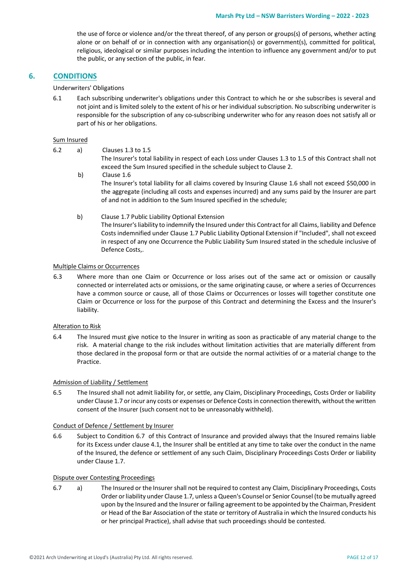the use of force or violence and/or the threat thereof, of any person or groups(s) of persons, whether acting alone or on behalf of or in connection with any organisation(s) or government(s), committed for political, religious, ideological or similar purposes including the intention to influence any government and/or to put the public, or any section of the public, in fear.

# **6. CONDITIONS**

Underwriters' Obligations

6.1 Each subscribing underwriter's obligations under this Contract to which he or she subscribes is several and not joint and is limited solely to the extent of his or her individual subscription. No subscribing underwriter is responsible for the subscription of any co-subscribing underwriter who for any reason does not satisfy all or part of his or her obligations.

#### Sum Insured

- 6.2 a) Clauses 1.3 to 1.5 The Insurer's total liability in respect of each Loss under Clauses 1.3 to 1.5 of this Contract shall not exceed the Sum Insured specified in the schedule subject to Clause 2. b) Clause 1.6 The Insurer's total liability for all claims covered by Insuring Clause 1.6 shall not exceed \$50,000 in the aggregate (including all costs and expenses incurred) and any sums paid by the Insurer are part of and not in addition to the Sum Insured specified in the schedule;
	- b) Clause 1.7 Public Liability Optional Extension The Insurer's liability to indemnify the Insured under this Contract for all Claims, liability and Defence Costs indemnified under Clause 1.7 Public Liability Optional Extension if "Included", shall not exceed in respect of any one Occurrence the Public Liability Sum Insured stated in the schedule inclusive of Defence Costs,.

#### Multiple Claims or Occurrences

6.3 Where more than one Claim or Occurrence or loss arises out of the same act or omission or causally connected or interrelated acts or omissions, or the same originating cause, or where a series of Occurrences have a common source or cause, all of those Claims or Occurrences or losses will together constitute one Claim or Occurrence or loss for the purpose of this Contract and determining the Excess and the Insurer's liability.

#### Alteration to Risk

6.4 The Insured must give notice to the Insurer in writing as soon as practicable of any material change to the risk. A material change to the risk includes without limitation activities that are materially different from those declared in the proposal form or that are outside the normal activities of or a material change to the Practice.

#### Admission of Liability / Settlement

6.5 The Insured shall not admit liability for, or settle, any Claim, Disciplinary Proceedings, Costs Order or liability under Clause 1.7 or incur any costs or expenses or Defence Costs in connection therewith, without the written consent of the Insurer (such consent not to be unreasonably withheld).

#### Conduct of Defence / Settlement by Insurer

6.6 Subject to Condition 6.7 of this Contract of Insurance and provided always that the Insured remains liable for its Excess under clause 4.1, the Insurer shall be entitled at any time to take over the conduct in the name of the Insured, the defence or settlement of any such Claim, Disciplinary Proceedings Costs Order or liability under Clause 1.7.

#### Dispute over Contesting Proceedings

6.7 a) The Insured or the Insurer shall not be required to contest any Claim, Disciplinary Proceedings, Costs Order or liability under Clause 1.7, unless a Queen's Counsel or Senior Counsel (to be mutually agreed upon by the Insured and the Insurer or failing agreement to be appointed by the Chairman, President or Head of the Bar Association of the state or territory of Australia in which the Insured conducts his or her principal Practice), shall advise that such proceedings should be contested.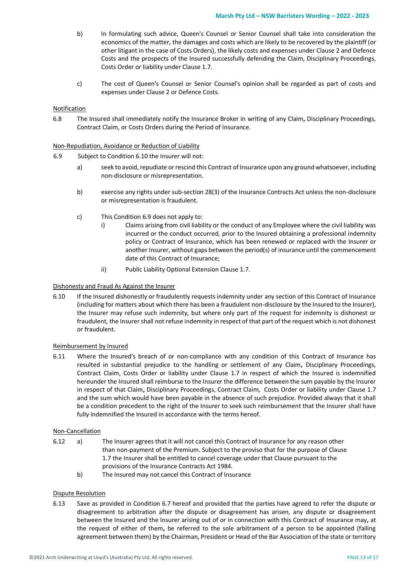- b) In formulating such advice, Queen's Counsel or Senior Counsel shall take into consideration the economics of the matter, the damages and costs which are likely to be recovered by the plaintiff (or other litigant in the case of Costs Orders), the likely costs and expenses under Clause 2 and Defence Costs and the prospects of the Insured successfully defending the Claim, Disciplinary Proceedings, Costs Order or liability under Clause 1.7.
- c) The cost of Queen's Counsel or Senior Counsel's opinion shall be regarded as part of costs and expenses under Clause 2 or Defence Costs.

# Notification

6.8 The Insured shall immediately notify the Insurance Broker in writing of any Claim**,** Disciplinary Proceedings, Contract Claim, or Costs Orders during the Period of Insurance.

#### Non-Repudiation, Avoidance or Reduction of Liability

- 6.9 Subject to Condition 6.10 the Insurer will not:
	- a) seek to avoid, repudiate or rescind this Contract of Insurance upon any ground whatsoever, including non-disclosure or misrepresentation.
	- b) exercise any rights under sub-section 28(3) of the Insurance Contracts Act unless the non-disclosure or misrepresentation is fraudulent.
	- c) This Condition 6.9 does not apply to:
		- i) Claims arising from civil liability or the conduct of any Employee where the civil liability was incurred or the conduct occurred, prior to the Insured obtaining a professional indemnity policy or Contract of Insurance, which has been renewed or replaced with the Insurer or another Insurer, without gaps between the period(s) of insurance until the commencement date of this Contract of Insurance;
		- ii) Public Liability Optional Extension Clause 1.7.

#### Dishonesty and Fraud As Against the Insurer

6.10 If the Insured dishonestly or fraudulently requests indemnity under any section of this Contract of Insurance (including for matters about which there has been a fraudulent non-disclosure by the Insured to the Insurer), the Insurer may refuse such indemnity, but where only part of the request for indemnity is dishonest or fraudulent, the Insurer shall not refuse indemnity in respect of that part of the request which is not dishonest or fraudulent.

#### Reimbursement by Insured

6.11 Where the Insured's breach of or non-compliance with any condition of this Contract of Insurance has resulted in substantial prejudice to the handling or settlement of any Claim**,** Disciplinary Proceedings, Contract Claim, Costs Order or liability under Clause 1.7 in respect of which the Insured is indemnified hereunder the Insured shall reimburse to the Insurer the difference between the sum payable by the Insurer in respect of that Claim**,** Disciplinary Proceedings, Contract Claim, Costs Order or liability under Clause 1.7 and the sum which would have been payable in the absence of such prejudice. Provided always that it shall be a condition precedent to the right of the Insurer to seek such reimbursement that the Insurer shall have fully indemnified the Insured in accordance with the terms hereof.

#### Non-Cancellation

- 6.12 a) The Insurer agrees that it will not cancel this Contract of Insurance for any reason other than non-payment of the Premium. Subject to the proviso that for the purpose of Clause 1.7 the Insurer shall be entitled to cancel coverage under that Clause pursuant to the provisions of the Insurance Contracts Act 1984.
	- b) The Insured may not cancel this Contract of Insurance

# Dispute Resolution

6.13 Save as provided in Condition 6.7 hereof and provided that the parties have agreed to refer the dispute or disagreement to arbitration after the dispute or disagreement has arisen, any dispute or disagreement between the Insured and the Insurer arising out of or in connection with this Contract of Insurance may**,** at the request of either of them**,** be referred to the sole arbitrament of a person to be appointed (failing agreement between them) by the Chairman, President or Head of the Bar Association of the state or territory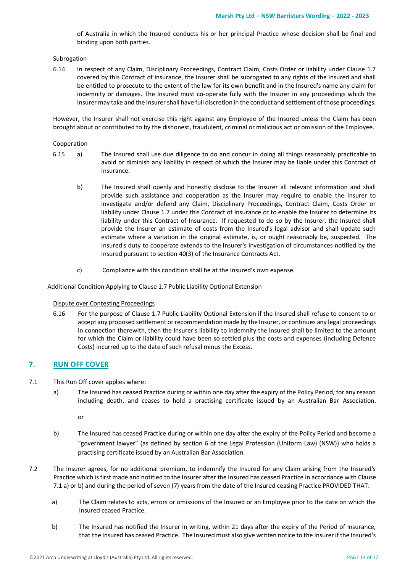of Australia in which the Insured conducts his or her principal Practice whose decision shall be final and binding upon both parties.

Subrogation

6.14 In respect of any Claim, Disciplinary Proceedings, Contract Claim, Costs Order or liability under Clause 1.7 covered by this Contract of Insurance, the Insurer shall be subrogated to any rights of the Insured and shall be entitled to prosecute to the extent of the law for its own benefit and in the Insured's name any claim for indemnity or damages. The Insured must co-operate fully with the Insurer in any proceedings which the Insurer may take and the Insurer shall have full discretion in the conduct and settlement of those proceedings.

However, the Insurer shall not exercise this right against any Employee of the Insured unless the Claim has been brought about or contributed to by the dishonest, fraudulent, criminal or malicious act or omission of the Employee.

#### **Cooperation**

- 6.15 a) The Insured shall use due diligence to do and concur in doing all things reasonably practicable to avoid or diminish any liability in respect of which the Insurer may be liable under this Contract of Insurance.
	- b) The Insured shall openly and honestly disclose to the Insurer all relevant information and shall provide such assistance and cooperation as the Insurer may require to enable the Insurer to investigate and/or defend any Claim, Disciplinary Proceedings, Contract Claim, Costs Order or liability under Clause 1.7 under this Contract of Insurance or to enable the Insurer to determine its liability under this Contract of Insurance. If requested to do so by the Insurer, the Insured shall provide the Insurer an estimate of costs from the Insured's legal advisor and shall update such estimate where a variation in the original estimate, is, or ought reasonably be, suspected. The Insured's duty to cooperate extends to the Insurer's investigation of circumstances notified by the Insured pursuant to section 40(3) of the Insurance Contracts Act.
	- c) Compliance with this condition shall be at the Insured's own expense.

Additional Condition Applying to Clause 1.7 Public Liability Optional Extension

#### Dispute over Contesting Proceedings

6.16 For the purpose of Clause 1.7 Public Liability Optional Extension if the Insured shall refuse to consent to or accept any proposed settlement or recommendation made by the Insurer, or continues any legal proceedings in connection therewith, then the Insurer's liability to indemnify the Insured shall be limited to the amount for which the Claim or liability could have been so settled plus the costs and expenses (including Defence Costs) incurred up to the date of such refusal minus the Excess.

# **7. RUN OFF COVER**

- 7.1 This Run Off cover applies where:
	- a) The Insured has ceased Practice during or within one day after the expiry of the Policy Period, for any reason including death, and ceases to hold a practising certificate issued by an Australian Bar Association.

or

- b) The Insured has ceased Practice during or within one day after the expiry of the Policy Period and become a "government lawyer" (as defined by section 6 of the Legal Profession (Uniform Law) (NSW)) who holds a practising certificate issued by an Australian Bar Association.
- 7.2 The Insurer agrees, for no additional premium, to indemnify the Insured for any Claim arising from the Insured's Practice which is first made and notified to the Insurer after the Insured has ceased Practice in accordance with Clause 7.1 a) or b) and during the period of seven (7) years from the date of the Insured ceasing Practice PROVIDED THAT:
	- a) The Claim relates to acts, errors or omissions of the Insured or an Employee prior to the date on which the Insured ceased Practice.
	- b) The Insured has notified the Insurer in writing, within 21 days after the expiry of the Period of Insurance, that the Insured has ceased Practice. The Insured must also give written notice to the Insurer if the Insured's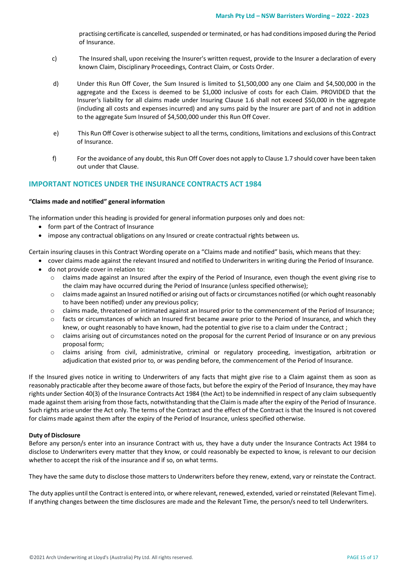practising certificate is cancelled, suspended or terminated, or has had conditions imposed during the Period of Insurance.

- c) The Insured shall, upon receiving the Insurer's written request, provide to the Insurer a declaration of every known Claim, Disciplinary Proceedings, Contract Claim, or Costs Order.
- d) Under this Run Off Cover, the Sum Insured is limited to \$1,500,000 any one Claim and \$4,500,000 in the aggregate and the Excess is deemed to be \$1,000 inclusive of costs for each Claim. PROVIDED that the Insurer's liability for all claims made under Insuring Clause 1.6 shall not exceed \$50,000 in the aggregate (including all costs and expenses incurred) and any sums paid by the Insurer are part of and not in addition to the aggregate Sum Insured of \$4,500,000 under this Run Off Cover.
- e) This Run Off Cover is otherwise subject to all the terms, conditions, limitations and exclusions of this Contract of Insurance.
- f) For the avoidance of any doubt, this Run Off Cover does not apply to Clause 1.7 should cover have been taken out under that Clause.

# **IMPORTANT NOTICES UNDER THE INSURANCE CONTRACTS ACT 1984**

# **"Claims made and notified" general information**

The information under this heading is provided for general information purposes only and does not:

- form part of the Contract of Insurance
- impose any contractual obligations on any Insured or create contractual rights between us.

Certain insuring clauses in this Contract Wording operate on a "Claims made and notified" basis, which means that they:

- cover claims made against the relevant Insured and notified to Underwriters in writing during the Period of Insurance.
- do not provide cover in relation to:
	- o claims made against an Insured after the expiry of the Period of Insurance, even though the event giving rise to the claim may have occurred during the Period of Insurance (unless specified otherwise);
	- $\circ$  claims made against an Insured notified or arising out of facts or circumstances notified (or which ought reasonably to have been notified) under any previous policy;
	- o claims made, threatened or intimated against an Insured prior to the commencement of the Period of Insurance;
	- o facts or circumstances of which an Insured first became aware prior to the Period of Insurance, and which they knew, or ought reasonably to have known, had the potential to give rise to a claim under the Contract;
	- $\circ$  claims arising out of circumstances noted on the proposal for the current Period of Insurance or on any previous proposal form;
	- o claims arising from civil, administrative, criminal or regulatory proceeding, investigation, arbitration or adjudication that existed prior to, or was pending before, the commencement of the Period of Insurance.

If the Insured gives notice in writing to Underwriters of any facts that might give rise to a Claim against them as soon as reasonably practicable after they become aware of those facts, but before the expiry of the Period of Insurance, they may have rights under Section 40(3) of the Insurance Contracts Act 1984 (the Act) to be indemnified in respect of any claim subsequently made against them arising from those facts, notwithstanding that the Claim is made after the expiry of the Period of Insurance. Such rights arise under the Act only. The terms of the Contract and the effect of the Contract is that the Insured is not covered for claims made against them after the expiry of the Period of Insurance, unless specified otherwise.

# **Duty of Disclosure**

Before any person/s enter into an insurance Contract with us, they have a duty under the Insurance Contracts Act 1984 to disclose to Underwriters every matter that they know, or could reasonably be expected to know, is relevant to our decision whether to accept the risk of the insurance and if so, on what terms.

They have the same duty to disclose those matters to Underwriters before they renew, extend, vary or reinstate the Contract.

The duty applies until the Contract is entered into, or where relevant, renewed, extended, varied or reinstated (Relevant Time). If anything changes between the time disclosures are made and the Relevant Time, the person/s need to tell Underwriters.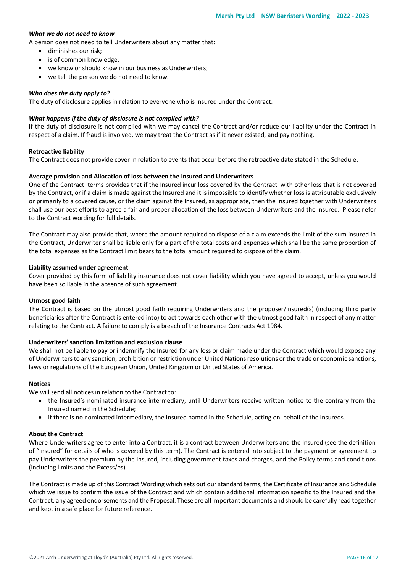# *What we do not need to know*

A person does not need to tell Underwriters about any matter that:

- diminishes our risk;
- is of common knowledge;
- we know or should know in our business as Underwriters;
- we tell the person we do not need to know.

# *Who does the duty apply to?*

The duty of disclosure applies in relation to everyone who is insured under the Contract.

# *What happens if the duty of disclosure is not complied with?*

If the duty of disclosure is not complied with we may cancel the Contract and/or reduce our liability under the Contract in respect of a claim. If fraud is involved, we may treat the Contract as if it never existed, and pay nothing.

#### **Retroactive liability**

The Contract does not provide cover in relation to events that occur before the retroactive date stated in the Schedule.

# **Average provision and Allocation of loss between the Insured and Underwriters**

One of the Contract terms provides that if the Insured incur loss covered by the Contract with other loss that is not covered by the Contract, or if a claim is made against the Insured and it is impossible to identify whether loss is attributable exclusively or primarily to a covered cause, or the claim against the Insured, as appropriate, then the Insured together with Underwriters shall use our best efforts to agree a fair and proper allocation of the loss between Underwriters and the Insured. Please refer to the Contract wording for full details.

The Contract may also provide that, where the amount required to dispose of a claim exceeds the limit of the sum insured in the Contract, Underwriter shall be liable only for a part of the total costs and expenses which shall be the same proportion of the total expenses as the Contract limit bears to the total amount required to dispose of the claim.

#### **Liability assumed under agreement**

Cover provided by this form of liability insurance does not cover liability which you have agreed to accept, unless you would have been so liable in the absence of such agreement.

#### **Utmost good faith**

The Contract is based on the utmost good faith requiring Underwriters and the proposer/insured(s) (including third party beneficiaries after the Contract is entered into) to act towards each other with the utmost good faith in respect of any matter relating to the Contract. A failure to comply is a breach of the Insurance Contracts Act 1984.

#### **Underwriters' sanction limitation and exclusion clause**

We shall not be liable to pay or indemnify the Insured for any loss or claim made under the Contract which would expose any of Underwriters to any sanction, prohibition or restriction under United Nations resolutions or the trade or economic sanctions, laws or regulations of the European Union, United Kingdom or United States of America.

# **Notices**

We will send all notices in relation to the Contract to:

- the Insured's nominated insurance intermediary, until Underwriters receive written notice to the contrary from the Insured named in the Schedule;
- if there is no nominated intermediary, the Insured named in the Schedule, acting on behalf of the Insureds.

# **About the Contract**

Where Underwriters agree to enter into a Contract, it is a contract between Underwriters and the Insured (see the definition of "Insured" for details of who is covered by this term). The Contract is entered into subject to the payment or agreement to pay Underwriters the premium by the Insured, including government taxes and charges, and the Policy terms and conditions (including limits and the Excess/es).

The Contract is made up of this Contract Wording which sets out our standard terms, the Certificate of Insurance and Schedule which we issue to confirm the issue of the Contract and which contain additional information specific to the Insured and the Contract, any agreed endorsements and the Proposal. These are all important documents and should be carefully read together and kept in a safe place for future reference.